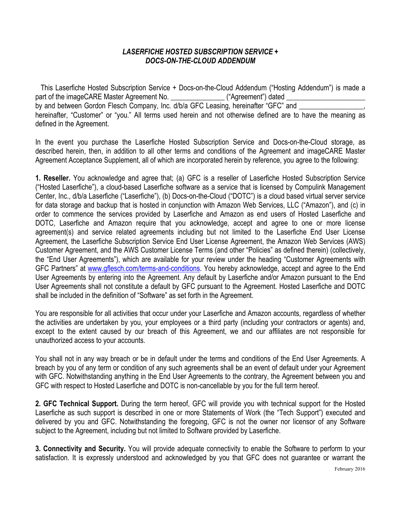## *LASERFICHE HOSTED SUBSCRIPTION SERVICE + DOCS-ON-THE-CLOUD ADDENDUM*

 This Laserfiche Hosted Subscription Service + Docs-on-the-Cloud Addendum ("Hosting Addendum") is made a part of the imageCARE Master Agreement No. \_\_\_\_\_\_\_\_\_\_\_\_\_\_\_\_\_\_("Agreement") dated \_ by and between Gordon Flesch Company, Inc. d/b/a GFC Leasing, hereinafter "GFC" and hereinafter, "Customer" or "you." All terms used herein and not otherwise defined are to have the meaning as defined in the Agreement.

In the event you purchase the Laserfiche Hosted Subscription Service and Docs-on-the-Cloud storage, as described herein, then, in addition to all other terms and conditions of the Agreement and imageCARE Master Agreement Acceptance Supplement, all of which are incorporated herein by reference, you agree to the following:

**1. Reseller.** You acknowledge and agree that; (a) GFC is a reseller of Laserfiche Hosted Subscription Service ("Hosted Laserfiche"), a cloud-based Laserfiche software as a service that is licensed by Compulink Management Center, Inc., d/b/a Laserfiche ("Laserfiche"), (b) Docs-on-the-Cloud ("DOTC") is a cloud based virtual server service for data storage and backup that is hosted in conjunction with Amazon Web Services, LLC ("Amazon"), and (c) in order to commence the services provided by Laserfiche and Amazon as end users of Hosted Laserfiche and DOTC, Laserfiche and Amazon require that you acknowledge, accept and agree to one or more license agreement(s) and service related agreements including but not limited to the Laserfiche End User License Agreement, the Laserfiche Subscription Service End User License Agreement, the Amazon Web Services (AWS) Customer Agreement, and the AWS Customer License Terms (and other "Policies" as defined therein) (collectively, the "End User Agreements"), which are available for your review under the heading "Customer Agreements with GFC Partners" at [www.gflesch.com/terms-and-conditions](http://www.gflesch.com/terms-and-conditions). You hereby acknowledge, accept and agree to the End User Agreements by entering into the Agreement. Any default by Laserfiche and/or Amazon pursuant to the End User Agreements shall not constitute a default by GFC pursuant to the Agreement. Hosted Laserfiche and DOTC shall be included in the definition of "Software" as set forth in the Agreement.

You are responsible for all activities that occur under your Laserfiche and Amazon accounts, regardless of whether the activities are undertaken by you, your employees or a third party (including your contractors or agents) and, except to the extent caused by our breach of this Agreement, we and our affiliates are not responsible for unauthorized access to your accounts.

You shall not in any way breach or be in default under the terms and conditions of the End User Agreements. A breach by you of any term or condition of any such agreements shall be an event of default under your Agreement with GFC. Notwithstanding anything in the End User Agreements to the contrary, the Agreement between you and GFC with respect to Hosted Laserfiche and DOTC is non-cancellable by you for the full term hereof.

**2. GFC Technical Support.** During the term hereof, GFC will provide you with technical support for the Hosted Laserfiche as such support is described in one or more Statements of Work (the "Tech Support") executed and delivered by you and GFC. Notwithstanding the foregoing, GFC is not the owner nor licensor of any Software subject to the Agreement, including but not limited to Software provided by Laserfiche.

**3. Connectivity and Security.** You will provide adequate connectivity to enable the Software to perform to your satisfaction. It is expressly understood and acknowledged by you that GFC does not guarantee or warrant the